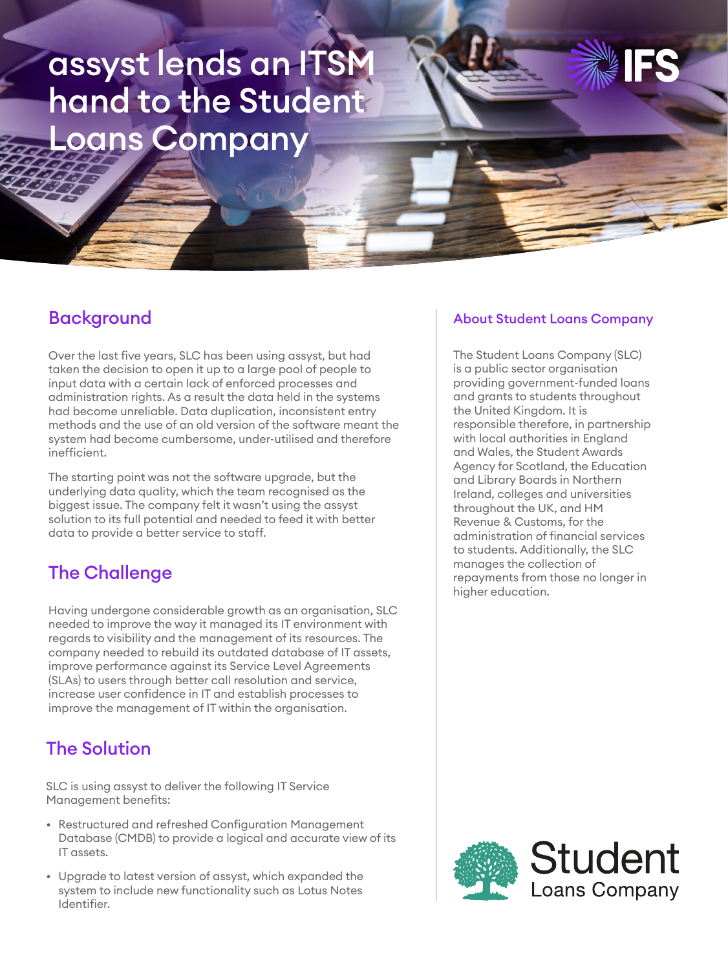# assyst lends an ITSM hand to the Student Loans Company

## **Background**

Over the last five years, SLC has been using assyst, but had taken the decision to open it up to a large pool of people to input data with a certain lack of enforced processes and administration rights. As a result the data held in the systems had become unreliable. Data duplication, inconsistent entry methods and the use of an old version of the software meant the system had become cumbersome, under-utilised and therefore inefficient.

The starting point was not the software upgrade, but the underlying data quality, which the team recognised as the biggest issue. The company felt it wasn't using the assyst solution to its full potential and needed to feed it with better data to provide a better service to staff.

## The Challenge

Having undergone considerable growth as an organisation, SLC needed to improve the way it managed its IT environment with regards to visibility and the management of its resources. The company needed to rebuild its outdated database of IT assets, improve performance against its Service Level Agreements (SLAs) to users through better call resolution and service, increase user confidence in IT and establish processes to improve the management of IT within the organisation.

## The Solution

SLC is using assyst to deliver the following IT Service Management benefits:

- Restructured and refreshed Configuration Management Database (CMDB) to provide a logical and accurate view of its IT assets.
- Upgrade to latest version of assyst, which expanded the system to include new functionality such as Lotus Notes Identifier.

#### About Student Loans Company

The Student Loans Company (SLC) is a public sector organisation providing government-funded loans and grants to students throughout the United Kingdom. It is responsible therefore, in partnership with local authorities in England and Wales, the Student Awards Agency for Scotland, the Education and Library Boards in Northern Ireland, colleges and universities throughout the UK, and HM Revenue & Customs, for the administration of financial services to students. Additionally, the SLC manages the collection of repayments from those no longer in higher education.